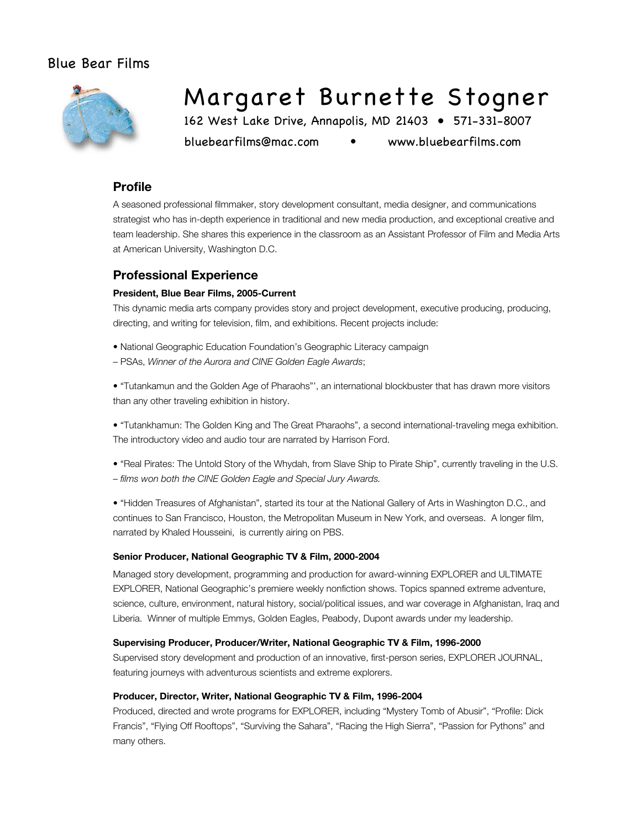# Blue Bear Films



# Margaret Burnette Stogner

162 West Lake Drive, Annapolis, MD 21403 • 571-331-8007

bluebearfilms@mac.com • www.bluebearfilms.com

## **Profile**

A seasoned professional filmmaker, story development consultant, media designer, and communications strategist who has in-depth experience in traditional and new media production, and exceptional creative and team leadership. She shares this experience in the classroom as an Assistant Professor of Film and Media Arts at American University, Washington D.C.

## **Professional Experience**

### **President, Blue Bear Films, 2005-Current**

This dynamic media arts company provides story and project development, executive producing, producing, directing, and writing for television, film, and exhibitions. Recent projects include:

- National Geographic Education Foundation's Geographic Literacy campaign
- PSAs, *Winner of the Aurora and CINE Golden Eagle Awards*;

• "Tutankamun and the Golden Age of Pharaohs"', an international blockbuster that has drawn more visitors than any other traveling exhibition in history.

• "Tutankhamun: The Golden King and The Great Pharaohs", a second international-traveling mega exhibition. The introductory video and audio tour are narrated by Harrison Ford.

• "Real Pirates: The Untold Story of the Whydah, from Slave Ship to Pirate Ship", currently traveling in the U.S. – *films won both the CINE Golden Eagle and Special Jury Awards.*

• "Hidden Treasures of Afghanistan", started its tour at the National Gallery of Arts in Washington D.C., and continues to San Francisco, Houston, the Metropolitan Museum in New York, and overseas. A longer film, narrated by Khaled Housseini, is currently airing on PBS.

### **Senior Producer, National Geographic TV & Film, 2000-2004**

Managed story development, programming and production for award-winning EXPLORER and ULTIMATE EXPLORER, National Geographic's premiere weekly nonfiction shows. Topics spanned extreme adventure, science, culture, environment, natural history, social/political issues, and war coverage in Afghanistan, Iraq and Liberia. Winner of multiple Emmys, Golden Eagles, Peabody, Dupont awards under my leadership.

#### **Supervising Producer, Producer/Writer, National Geographic TV & Film, 1996-2000**

Supervised story development and production of an innovative, first-person series, EXPLORER JOURNAL, featuring journeys with adventurous scientists and extreme explorers.

### **Producer, Director, Writer, National Geographic TV & Film, 1996-2004**

Produced, directed and wrote programs for EXPLORER, including "Mystery Tomb of Abusir", "Profile: Dick Francis", "Flying Off Rooftops", "Surviving the Sahara", "Racing the High Sierra", "Passion for Pythons" and many others.